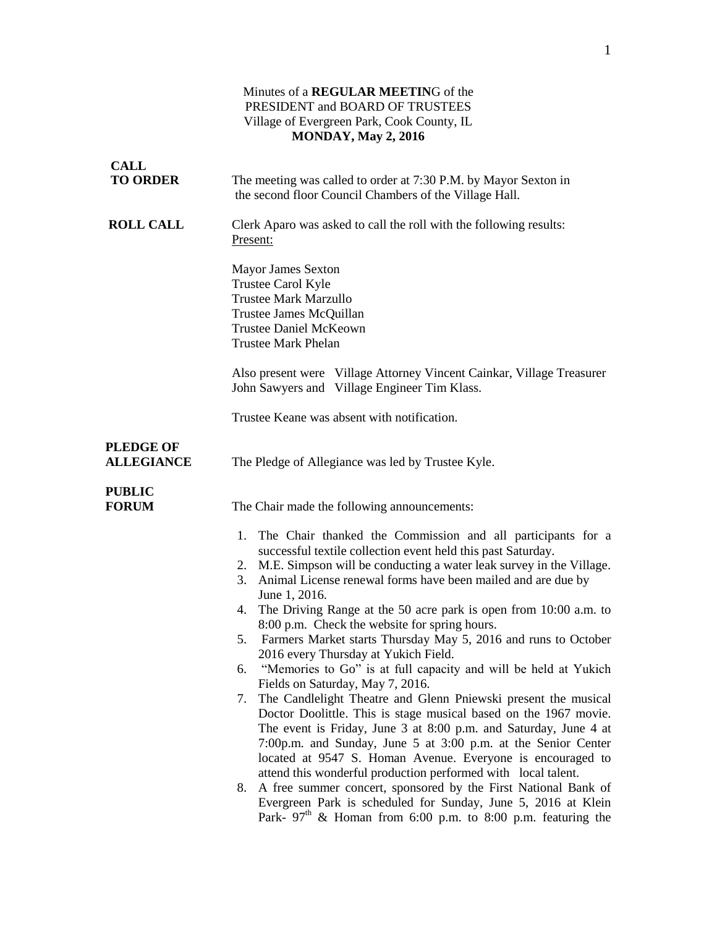## Minutes of a **REGULAR MEETIN**G of the PRESIDENT and BOARD OF TRUSTEES Village of Evergreen Park, Cook County, IL **MONDAY, May 2, 2016**

| <b>CALL</b><br><b>TO ORDER</b>        | The meeting was called to order at 7:30 P.M. by Mayor Sexton in                                                                                                                                                                                                                                                                                                                                                                                                                                                                                                                                                                                                                                                                                                                                                                                                                                                                                                                                                                                                                                                                                                                                                                                                              |
|---------------------------------------|------------------------------------------------------------------------------------------------------------------------------------------------------------------------------------------------------------------------------------------------------------------------------------------------------------------------------------------------------------------------------------------------------------------------------------------------------------------------------------------------------------------------------------------------------------------------------------------------------------------------------------------------------------------------------------------------------------------------------------------------------------------------------------------------------------------------------------------------------------------------------------------------------------------------------------------------------------------------------------------------------------------------------------------------------------------------------------------------------------------------------------------------------------------------------------------------------------------------------------------------------------------------------|
|                                       | the second floor Council Chambers of the Village Hall.                                                                                                                                                                                                                                                                                                                                                                                                                                                                                                                                                                                                                                                                                                                                                                                                                                                                                                                                                                                                                                                                                                                                                                                                                       |
| <b>ROLL CALL</b>                      | Clerk Aparo was asked to call the roll with the following results:<br>Present:                                                                                                                                                                                                                                                                                                                                                                                                                                                                                                                                                                                                                                                                                                                                                                                                                                                                                                                                                                                                                                                                                                                                                                                               |
|                                       | <b>Mayor James Sexton</b><br>Trustee Carol Kyle<br><b>Trustee Mark Marzullo</b><br>Trustee James McQuillan<br><b>Trustee Daniel McKeown</b><br><b>Trustee Mark Phelan</b>                                                                                                                                                                                                                                                                                                                                                                                                                                                                                                                                                                                                                                                                                                                                                                                                                                                                                                                                                                                                                                                                                                    |
|                                       | Also present were Village Attorney Vincent Cainkar, Village Treasurer<br>John Sawyers and Village Engineer Tim Klass.                                                                                                                                                                                                                                                                                                                                                                                                                                                                                                                                                                                                                                                                                                                                                                                                                                                                                                                                                                                                                                                                                                                                                        |
|                                       | Trustee Keane was absent with notification.                                                                                                                                                                                                                                                                                                                                                                                                                                                                                                                                                                                                                                                                                                                                                                                                                                                                                                                                                                                                                                                                                                                                                                                                                                  |
| <b>PLEDGE OF</b><br><b>ALLEGIANCE</b> | The Pledge of Allegiance was led by Trustee Kyle.                                                                                                                                                                                                                                                                                                                                                                                                                                                                                                                                                                                                                                                                                                                                                                                                                                                                                                                                                                                                                                                                                                                                                                                                                            |
| <b>PUBLIC</b><br><b>FORUM</b>         | The Chair made the following announcements:                                                                                                                                                                                                                                                                                                                                                                                                                                                                                                                                                                                                                                                                                                                                                                                                                                                                                                                                                                                                                                                                                                                                                                                                                                  |
|                                       | The Chair thanked the Commission and all participants for a<br>1.<br>successful textile collection event held this past Saturday.<br>2. M.E. Simpson will be conducting a water leak survey in the Village.<br>3. Animal License renewal forms have been mailed and are due by<br>June 1, 2016.<br>4. The Driving Range at the 50 acre park is open from 10:00 a.m. to<br>8:00 p.m. Check the website for spring hours.<br>5. Farmers Market starts Thursday May 5, 2016 and runs to October<br>2016 every Thursday at Yukich Field.<br>"Memories to Go" is at full capacity and will be held at Yukich<br>6.<br>Fields on Saturday, May 7, 2016.<br>The Candlelight Theatre and Glenn Pniewski present the musical<br>7.<br>Doctor Doolittle. This is stage musical based on the 1967 movie.<br>The event is Friday, June 3 at 8:00 p.m. and Saturday, June 4 at<br>7:00p.m. and Sunday, June 5 at 3:00 p.m. at the Senior Center<br>located at 9547 S. Homan Avenue. Everyone is encouraged to<br>attend this wonderful production performed with local talent.<br>A free summer concert, sponsored by the First National Bank of<br>8.<br>Evergreen Park is scheduled for Sunday, June 5, 2016 at Klein<br>Park- $97th$ & Homan from 6:00 p.m. to 8:00 p.m. featuring the |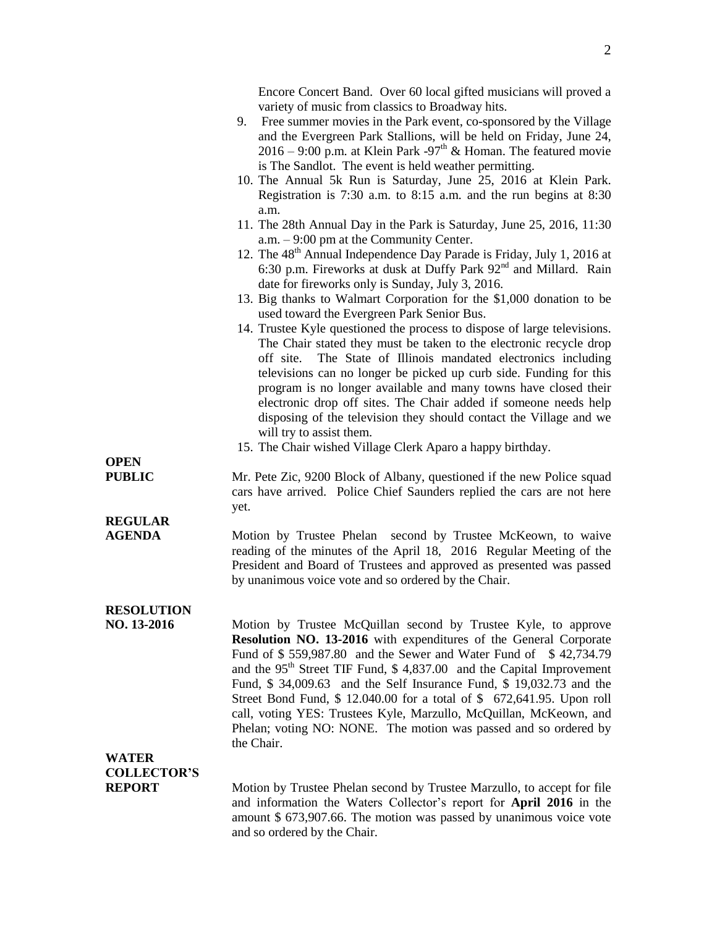Encore Concert Band. Over 60 local gifted musicians will proved a variety of music from classics to Broadway hits.

- 9. Free summer movies in the Park event, co-sponsored by the Village and the Evergreen Park Stallions, will be held on Friday, June 24,  $2016 - 9:00$  p.m. at Klein Park -97<sup>th</sup> & Homan. The featured movie is The Sandlot. The event is held weather permitting.
- 10. The Annual 5k Run is Saturday, June 25, 2016 at Klein Park. Registration is 7:30 a.m. to 8:15 a.m. and the run begins at 8:30 a.m.
- 11. The 28th Annual Day in the Park is Saturday, June 25, 2016, 11:30 a.m. – 9:00 pm at the Community Center.
- 12. The 48<sup>th</sup> Annual Independence Day Parade is Friday, July 1, 2016 at 6:30 p.m. Fireworks at dusk at Duffy Park  $92<sup>nd</sup>$  and Millard. Rain date for fireworks only is Sunday, July 3, 2016.
- 13. Big thanks to Walmart Corporation for the \$1,000 donation to be used toward the Evergreen Park Senior Bus.
- 14. Trustee Kyle questioned the process to dispose of large televisions. The Chair stated they must be taken to the electronic recycle drop off site. The State of Illinois mandated electronics including televisions can no longer be picked up curb side. Funding for this program is no longer available and many towns have closed their electronic drop off sites. The Chair added if someone needs help disposing of the television they should contact the Village and we will try to assist them.
- 15. The Chair wished Village Clerk Aparo a happy birthday.

**OPEN**

**REGULAR** 

**PUBLIC** Mr. Pete Zic, 9200 Block of Albany, questioned if the new Police squad cars have arrived. Police Chief Saunders replied the cars are not here yet.

**AGENDA** Motion by Trustee Phelan second by Trustee McKeown, to waive reading of the minutes of the April 18, 2016 Regular Meeting of the President and Board of Trustees and approved as presented was passed by unanimous voice vote and so ordered by the Chair.

## **RESOLUTION**

**NO. 13-2016** Motion by Trustee McQuillan second by Trustee Kyle, to approve **Resolution NO. 13-2016** with expenditures of the General Corporate Fund of \$559,987.80 and the Sewer and Water Fund of \$42,734.79 and the 95<sup>th</sup> Street TIF Fund, \$4,837.00 and the Capital Improvement Fund, \$ 34,009.63 and the Self Insurance Fund, \$ 19,032.73 and the Street Bond Fund, \$ 12.040.00 for a total of \$ 672,641.95. Upon roll call, voting YES: Trustees Kyle, Marzullo, McQuillan, McKeown, and Phelan; voting NO: NONE. The motion was passed and so ordered by the Chair.

# **WATER COLLECTOR'S**

**REPORT** Motion by Trustee Phelan second by Trustee Marzullo, to accept for file and information the Waters Collector's report for **April 2016** in the amount \$ 673,907.66. The motion was passed by unanimous voice vote and so ordered by the Chair.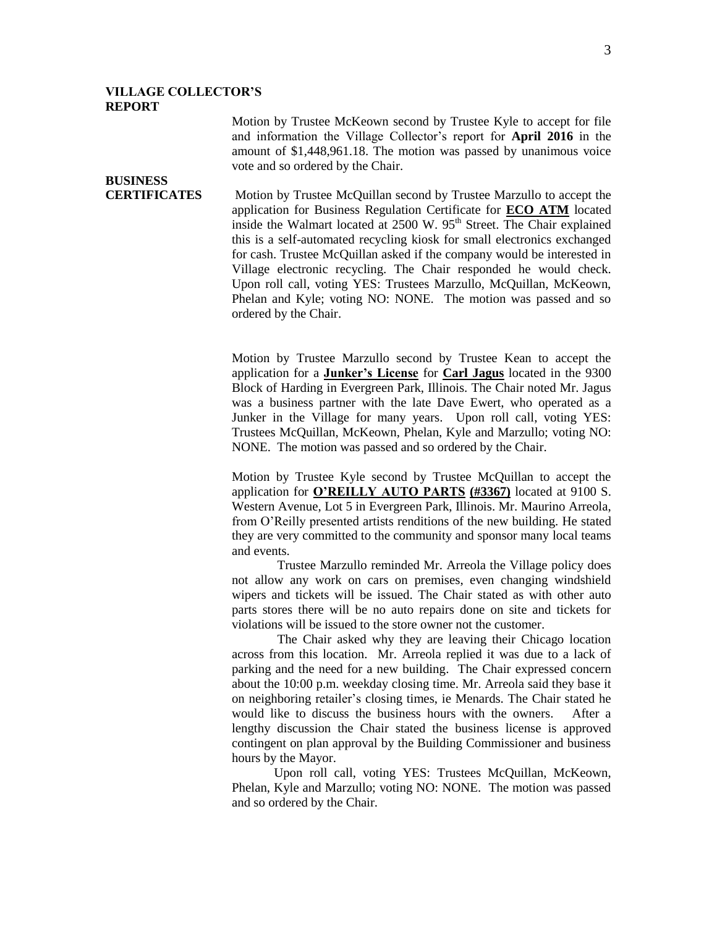#### **VILLAGE COLLECTOR'S REPORT**

**BUSINESS** 

Motion by Trustee McKeown second by Trustee Kyle to accept for file and information the Village Collector's report for **April 2016** in the amount of \$1,448,961.18. The motion was passed by unanimous voice vote and so ordered by the Chair.

**CERTIFICATES** Motion by Trustee McQuillan second by Trustee Marzullo to accept the application for Business Regulation Certificate for **ECO ATM** located inside the Walmart located at 2500 W. 95<sup>th</sup> Street. The Chair explained this is a self-automated recycling kiosk for small electronics exchanged for cash. Trustee McQuillan asked if the company would be interested in Village electronic recycling. The Chair responded he would check. Upon roll call, voting YES: Trustees Marzullo, McQuillan, McKeown, Phelan and Kyle; voting NO: NONE. The motion was passed and so ordered by the Chair.

> Motion by Trustee Marzullo second by Trustee Kean to accept the application for a **Junker's License** for **Carl Jagus** located in the 9300 Block of Harding in Evergreen Park, Illinois. The Chair noted Mr. Jagus was a business partner with the late Dave Ewert, who operated as a Junker in the Village for many years. Upon roll call, voting YES: Trustees McQuillan, McKeown, Phelan, Kyle and Marzullo; voting NO: NONE. The motion was passed and so ordered by the Chair.

> Motion by Trustee Kyle second by Trustee McQuillan to accept the application for **O'REILLY AUTO PARTS (#3367)** located at 9100 S. Western Avenue, Lot 5 in Evergreen Park, Illinois. Mr. Maurino Arreola, from O'Reilly presented artists renditions of the new building. He stated they are very committed to the community and sponsor many local teams and events.

> Trustee Marzullo reminded Mr. Arreola the Village policy does not allow any work on cars on premises, even changing windshield wipers and tickets will be issued. The Chair stated as with other auto parts stores there will be no auto repairs done on site and tickets for violations will be issued to the store owner not the customer.

> The Chair asked why they are leaving their Chicago location across from this location. Mr. Arreola replied it was due to a lack of parking and the need for a new building. The Chair expressed concern about the 10:00 p.m. weekday closing time. Mr. Arreola said they base it on neighboring retailer's closing times, ie Menards. The Chair stated he would like to discuss the business hours with the owners. After a lengthy discussion the Chair stated the business license is approved contingent on plan approval by the Building Commissioner and business hours by the Mayor.

> Upon roll call, voting YES: Trustees McQuillan, McKeown, Phelan, Kyle and Marzullo; voting NO: NONE. The motion was passed and so ordered by the Chair.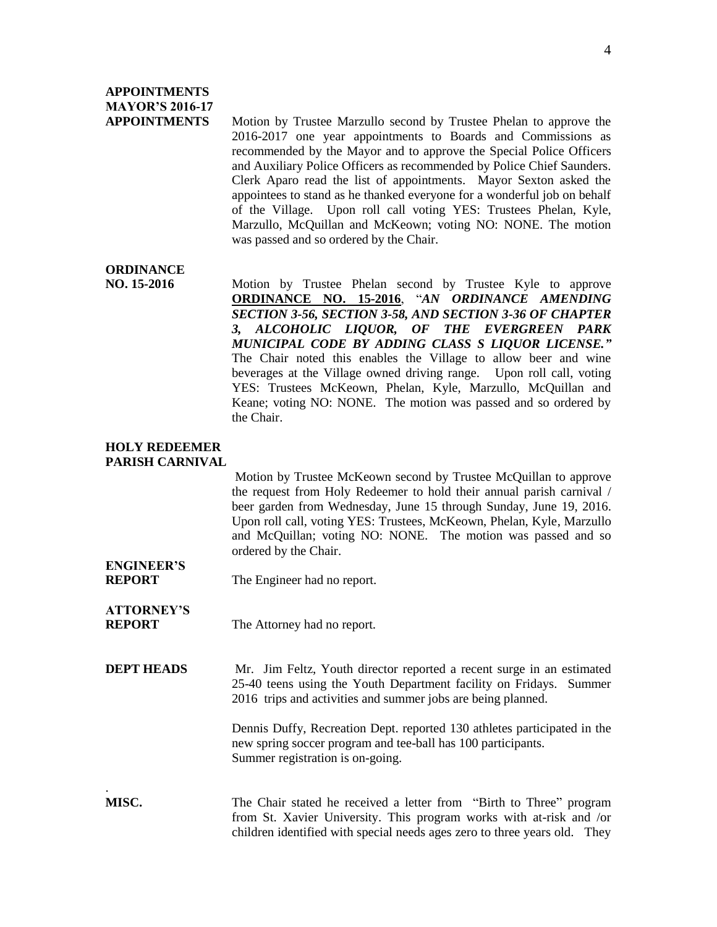## **APPOINTMENTS MAYOR'S 2016-17**

**APPOINTMENTS** Motion by Trustee Marzullo second by Trustee Phelan to approve the 2016-2017 one year appointments to Boards and Commissions as recommended by the Mayor and to approve the Special Police Officers and Auxiliary Police Officers as recommended by Police Chief Saunders. Clerk Aparo read the list of appointments. Mayor Sexton asked the appointees to stand as he thanked everyone for a wonderful job on behalf of the Village. Upon roll call voting YES: Trustees Phelan, Kyle, Marzullo, McQuillan and McKeown; voting NO: NONE. The motion was passed and so ordered by the Chair.

## **ORDINANCE**

**NO. 15-2016** Motion by Trustee Phelan second by Trustee Kyle to approve **ORDINANCE NO. 15-2016**, "*AN ORDINANCE AMENDING SECTION 3-56, SECTION 3-58, AND SECTION 3-36 OF CHAPTER 3, ALCOHOLIC LIQUOR, OF THE EVERGREEN PARK MUNICIPAL CODE BY ADDING CLASS S LIQUOR LICENSE."* The Chair noted this enables the Village to allow beer and wine beverages at the Village owned driving range. Upon roll call, voting YES: Trustees McKeown, Phelan, Kyle, Marzullo, McQuillan and Keane; voting NO: NONE. The motion was passed and so ordered by the Chair.

#### **HOLY REDEEMER PARISH CARNIVAL**

Motion by Trustee McKeown second by Trustee McQuillan to approve the request from Holy Redeemer to hold their annual parish carnival / beer garden from Wednesday, June 15 through Sunday, June 19, 2016. Upon roll call, voting YES: Trustees, McKeown, Phelan, Kyle, Marzullo and McQuillan; voting NO: NONE. The motion was passed and so ordered by the Chair.

**ENGINEER'S**

.

**REPORT** The Engineer had no report.

- **ATTORNEY'S REPORT** The Attorney had no report.
- **DEPT HEADS** Mr. Jim Feltz, Youth director reported a recent surge in an estimated 25-40 teens using the Youth Department facility on Fridays. Summer 2016 trips and activities and summer jobs are being planned.

Dennis Duffy, Recreation Dept. reported 130 athletes participated in the new spring soccer program and tee-ball has 100 participants. Summer registration is on-going.

**MISC.** The Chair stated he received a letter from "Birth to Three" program from St. Xavier University. This program works with at-risk and /or children identified with special needs ages zero to three years old. They